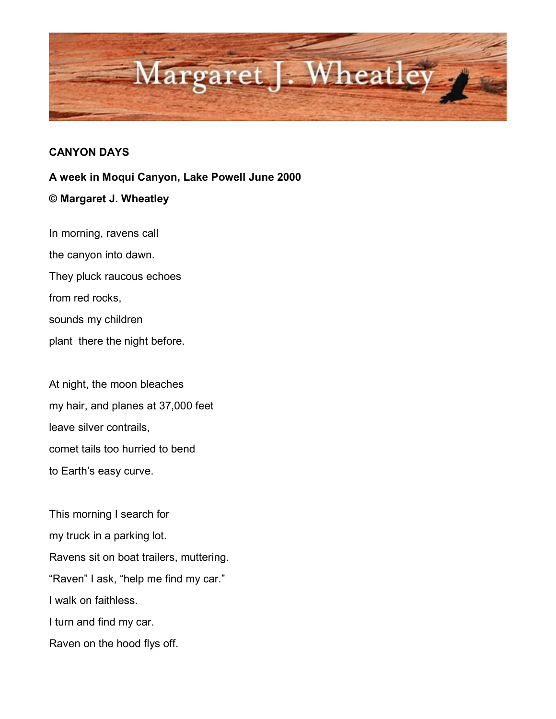

## **CANYON DAYS**

**A week in Moqui Canyon, Lake Powell June 2000 © Margaret J. Wheatley**

In morning, ravens call the canyon into dawn. They pluck raucous echoes from red rocks, sounds my children plant there the night before.

At night, the moon bleaches my hair, and planes at 37,000 feet leave silver contrails, comet tails too hurried to bend to Earth's easy curve.

This morning I search for my truck in a parking lot. Ravens sit on boat trailers, muttering. "Raven" I ask, "help me find my car." I walk on faithless. I turn and find my car. Raven on the hood flys off.